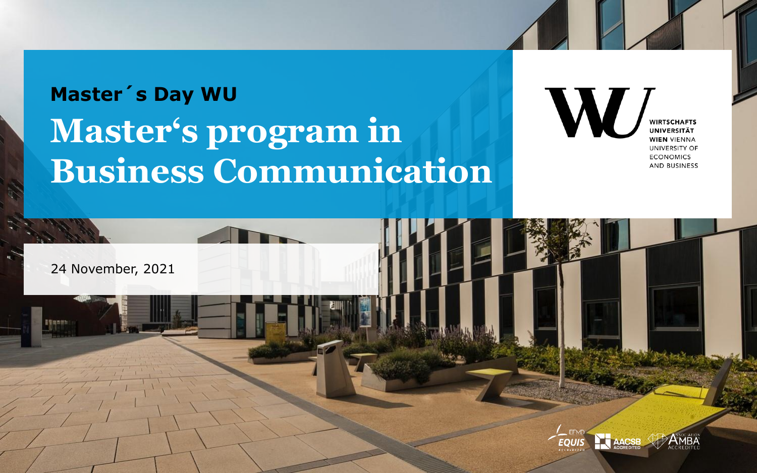## **Master's program in Business Communication Master´s Day WU**

**WIRTSCHAFTS UNIVERSITÄT WIEN VIENNA** UNIVERSITY OF **ECONOMICS AND BUSINESS** 

24 November, 2021

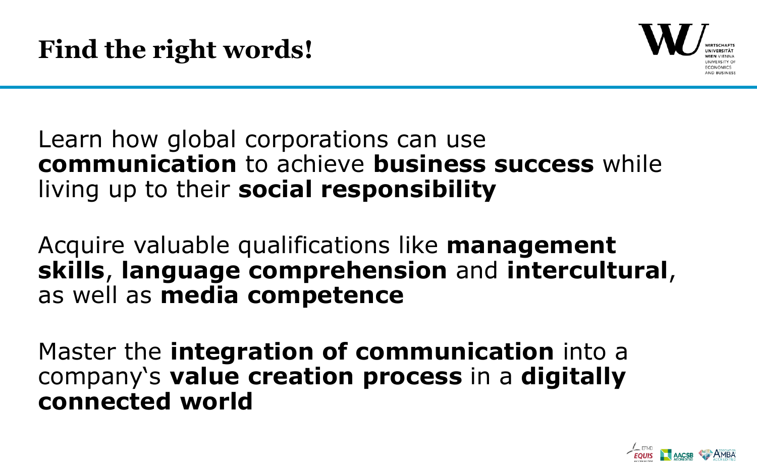

## Learn how global corporations can use **communication** to achieve **business success** while living up to their **social responsibility**

Acquire valuable qualifications like **management skills**, **language comprehension** and **intercultural**, as well as **media competence**

Master the **integration of communication** into a company's **value creation process** in a **digitally connected world**

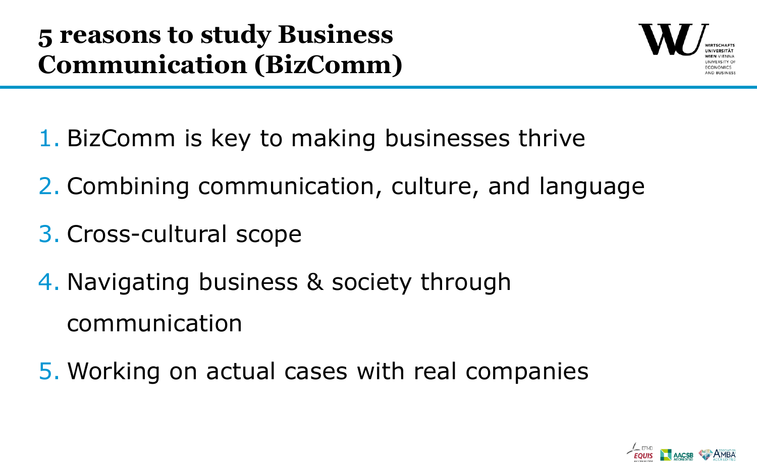

- 1. BizComm is key to making businesses thrive
- 2. Combining communication, culture, and language
- 3. Cross-cultural scope
- 4. Navigating business & society through communication
- 5. Working on actual cases with real companies

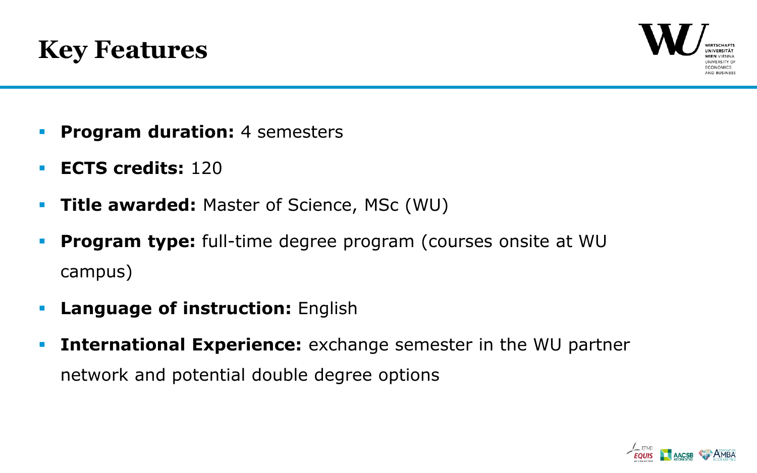



- **Program duration:** 4 semesters
- **ECTS credits:** 120
- **Title awarded:** Master of Science, MSc (WU)
- **Program type:** full-time degree program (courses onsite at WU campus)
- **Language of instruction:** English
- **International Experience:** exchange semester in the WU partner network and potential double degree options

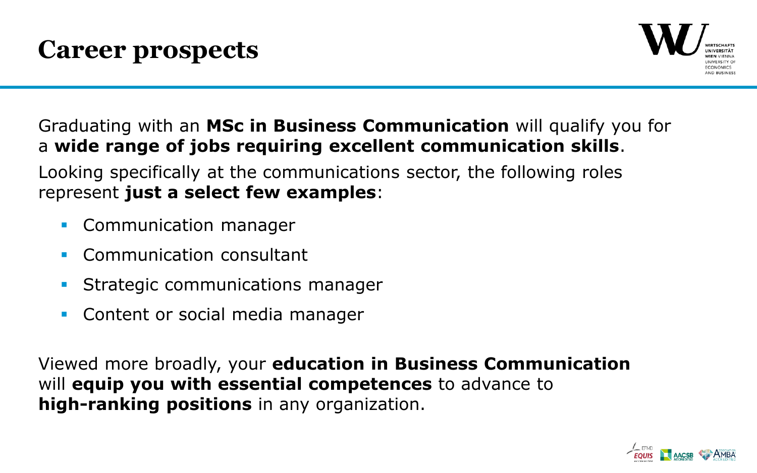

## Graduating with an **MSc in Business Communication** will qualify you for a **wide range of jobs requiring excellent communication skills**.

Looking specifically at the communications sector, the following roles represent **just a select few examples**:

- Communication manager
- Communication consultant
- Strategic communications manager
- Content or social media manager

Viewed more broadly, your **education in Business Communication** will **equip you with essential competences** to advance to **high-ranking positions** in any organization.